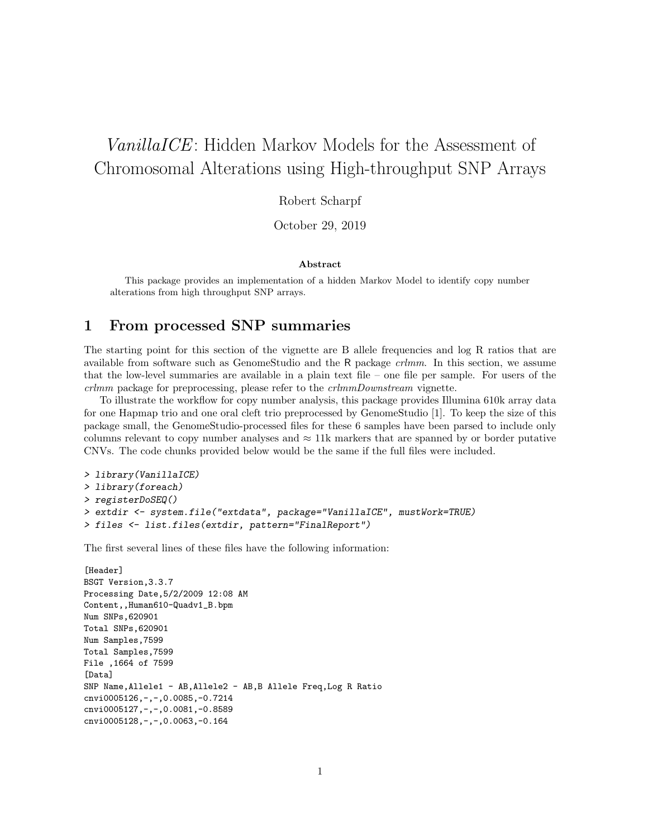# VanillaICE: Hidden Markov Models for the Assessment of Chromosomal Alterations using High-throughput SNP Arrays

Robert Scharpf

October 29, 2019

#### Abstract

This package provides an implementation of a hidden Markov Model to identify copy number alterations from high throughput SNP arrays.

## 1 From processed SNP summaries

The starting point for this section of the vignette are B allele frequencies and log R ratios that are available from software such as GenomeStudio and the R package crlmm. In this section, we assume that the low-level summaries are available in a plain text file – one file per sample. For users of the crlmm package for preprocessing, please refer to the crlmmDownstream vignette.

To illustrate the workflow for copy number analysis, this package provides Illumina 610k array data for one Hapmap trio and one oral cleft trio preprocessed by GenomeStudio [1]. To keep the size of this package small, the GenomeStudio-processed files for these 6 samples have been parsed to include only columns relevant to copy number analyses and  $\approx 11k$  markers that are spanned by or border putative CNVs. The code chunks provided below would be the same if the full files were included.

```
> library(VanillaICE)
> library(foreach)
> registerDoSEQ()
> extdir <- system.file("extdata", package="VanillaICE", mustWork=TRUE)
> files <- list.files(extdir, pattern="FinalReport")
```
The first several lines of these files have the following information:

```
[Header]
BSGT Version,3.3.7
Processing Date,5/2/2009 12:08 AM
Content,,Human610-Quadv1_B.bpm
Num SNPs,620901
Total SNPs,620901
Num Samples,7599
Total Samples,7599
File ,1664 of 7599
[Data]
SNP Name,Allele1 - AB,Allele2 - AB,B Allele Freq,Log R Ratio
cnvi0005126,-,-,0.0085,-0.7214
cnvi0005127,-,-,0.0081,-0.8589
cnvi0005128,-,-,0.0063,-0.164
```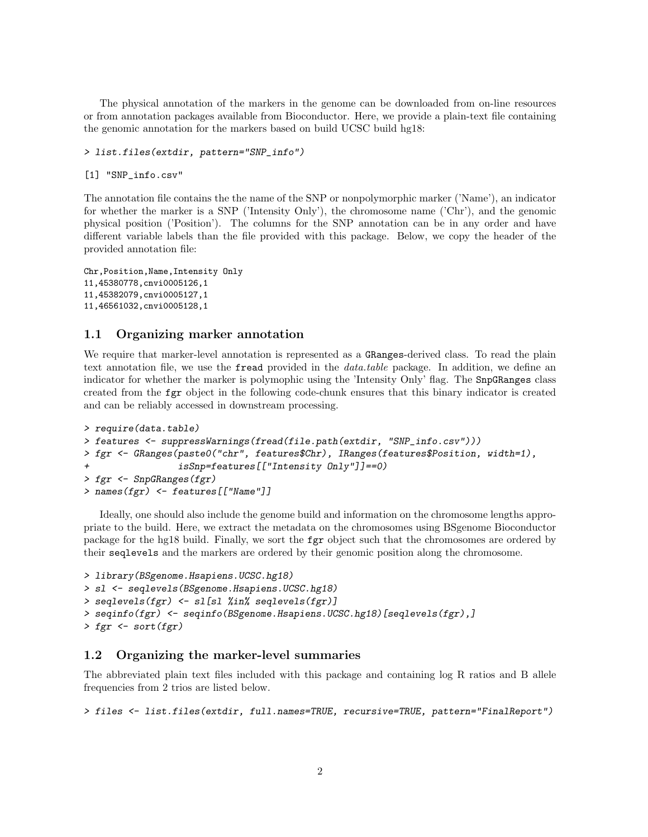The physical annotation of the markers in the genome can be downloaded from on-line resources or from annotation packages available from Bioconductor. Here, we provide a plain-text file containing the genomic annotation for the markers based on build UCSC build hg18:

```
> list.files(extdir, pattern="SNP_info")
```
[1] "SNP\_info.csv"

The annotation file contains the the name of the SNP or nonpolymorphic marker ('Name'), an indicator for whether the marker is a SNP ('Intensity Only'), the chromosome name ('Chr'), and the genomic physical position ('Position'). The columns for the SNP annotation can be in any order and have different variable labels than the file provided with this package. Below, we copy the header of the provided annotation file:

```
Chr,Position,Name,Intensity Only
11,45380778,cnvi0005126,1
11,45382079,cnvi0005127,1
11,46561032,cnvi0005128,1
```
## 1.1 Organizing marker annotation

We require that marker-level annotation is represented as a GRanges-derived class. To read the plain text annotation file, we use the **fread** provided in the *data.table* package. In addition, we define an indicator for whether the marker is polymophic using the 'Intensity Only' flag. The SnpGRanges class created from the fgr object in the following code-chunk ensures that this binary indicator is created and can be reliably accessed in downstream processing.

```
> require(data.table)
> features <- suppressWarnings(fread(file.path(extdir, "SNP_info.csv")))
> fgr <- GRanges(paste0("chr", features$Chr), IRanges(features$Position, width=1),
                 isSnp=features[["Intensity Only"]]==0)
> fgr <- SnpGRanges(fgr)
> names(fgr) <- features[["Name"]]
```
Ideally, one should also include the genome build and information on the chromosome lengths appropriate to the build. Here, we extract the metadata on the chromosomes using BSgenome Bioconductor package for the hg18 build. Finally, we sort the fgr object such that the chromosomes are ordered by their seqlevels and the markers are ordered by their genomic position along the chromosome.

```
> library(BSgenome.Hsapiens.UCSC.hg18)
> sl <- seqlevels(BSgenome.Hsapiens.UCSC.hg18)
> seqlevels(fgr) <- sl[sl %in% seqlevels(fgr)]
> seqinfo(fgr) <- seqinfo(BSgenome.Hsapiens.UCSC.hg18)[seqlevels(fgr),]
> fgr <- sort(fgr)
```
## 1.2 Organizing the marker-level summaries

The abbreviated plain text files included with this package and containing log R ratios and B allele frequencies from 2 trios are listed below.

> files <- list.files(extdir, full.names=TRUE, recursive=TRUE, pattern="FinalReport")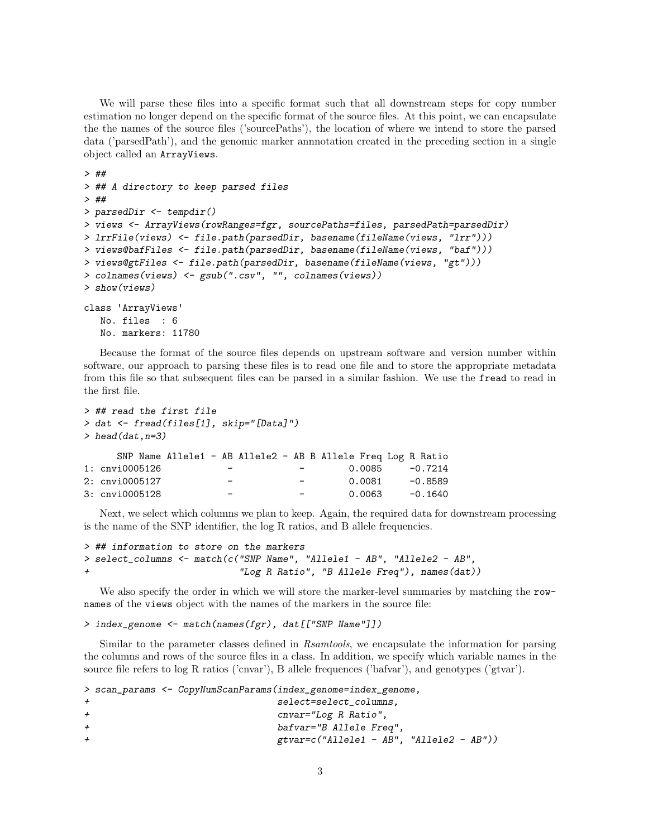We will parse these files into a specific format such that all downstream steps for copy number estimation no longer depend on the specific format of the source files. At this point, we can encapsulate the the names of the source files ('sourcePaths'), the location of where we intend to store the parsed data ('parsedPath'), and the genomic marker annnotation created in the preceding section in a single object called an ArrayViews.

```
> ##
> ## A directory to keep parsed files
> ##
> parsedDir <- tempdir()
> views <- ArrayViews(rowRanges=fgr, sourcePaths=files, parsedPath=parsedDir)
> lrrFile(views) <- file.path(parsedDir, basename(fileName(views, "lrr")))
> views@bafFiles <- file.path(parsedDir, basename(fileName(views, "baf")))
> views@gtFiles <- file.path(parsedDir, basename(fileName(views, "gt")))
> colnames(views) <- gsub(".csv", "", colnames(views))
> show(views)
class 'ArrayViews'
  No. files : 6
  No. markers: 11780
```
Because the format of the source files depends on upstream software and version number within software, our approach to parsing these files is to read one file and to store the appropriate metadata from this file so that subsequent files can be parsed in a similar fashion. We use the fread to read in the first file.

```
> ## read the first file
> dat <- fread(files[1], skip="[Data]")
> head(data, n=3)SNP Name Allele1 - AB Allele2 - AB B Allele Freq Log R Ratio
1: cnvi0005126 - - - - 0.0085 -0.7214
2: cnvi0005127 - - - 0.0081 -0.8589
3: cnvi0005128 - - - - 0.0063 -0.1640
```
Next, we select which columns we plan to keep. Again, the required data for downstream processing is the name of the SNP identifier, the log R ratios, and B allele frequencies.

```
> ## information to store on the markers
> select_columns <- match(c("SNP Name", "Allele1 - AB", "Allele2 - AB",
                            "Log R Ratio", "B Allele Freq"), names(dat))
```
We also specify the order in which we will store the marker-level summaries by matching the rownames of the views object with the names of the markers in the source file:

> index\_genome <- match(names(fgr), dat[["SNP Name"]])

Similar to the parameter classes defined in Rsamtools, we encapsulate the information for parsing the columns and rows of the source files in a class. In addition, we specify which variable names in the source file refers to log R ratios ('cnvar'), B allele frequences ('bafvar'), and genotypes ('gtvar').

```
> scan_params <- CopyNumScanParams(index_genome=index_genome,
                      select=select_columns,
+ cnvar="Log R Ratio",
+ bafvar="B Allele Freq",
+ gtvar=c("Allele1 - AB", "Allele2 - AB"))
```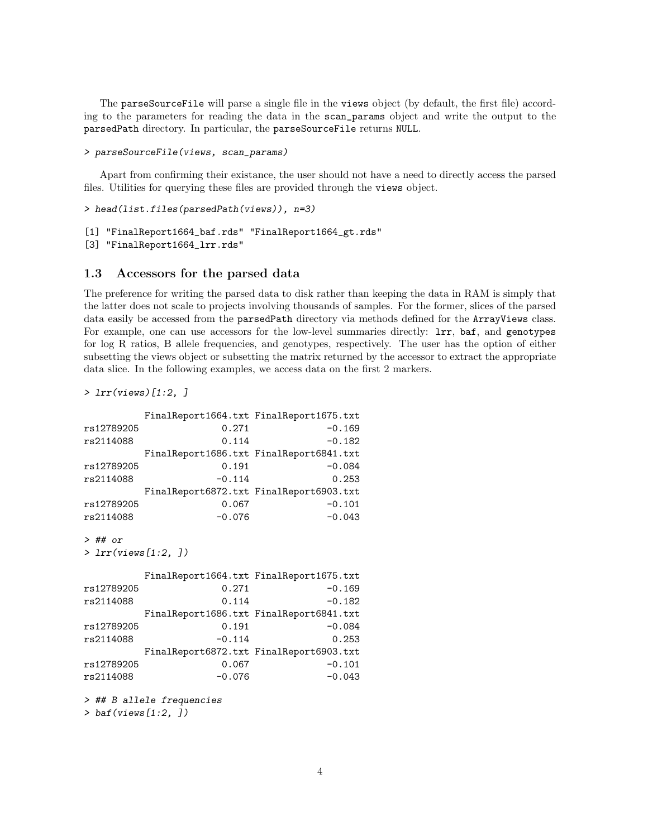The parseSourceFile will parse a single file in the views object (by default, the first file) according to the parameters for reading the data in the scan\_params object and write the output to the parsedPath directory. In particular, the parseSourceFile returns NULL.

```
> parseSourceFile(views, scan_params)
```
Apart from confirming their existance, the user should not have a need to directly access the parsed files. Utilities for querying these files are provided through the views object.

> head(list.files(parsedPath(views)), n=3)

```
[1] "FinalReport1664_baf.rds" "FinalReport1664_gt.rds"
```
[3] "FinalReport1664\_lrr.rds"

#### 1.3 Accessors for the parsed data

The preference for writing the parsed data to disk rather than keeping the data in RAM is simply that the latter does not scale to projects involving thousands of samples. For the former, slices of the parsed data easily be accessed from the parsedPath directory via methods defined for the ArrayViews class. For example, one can use accessors for the low-level summaries directly: lrr, baf, and genotypes for log R ratios, B allele frequencies, and genotypes, respectively. The user has the option of either subsetting the views object or subsetting the matrix returned by the accessor to extract the appropriate data slice. In the following examples, we access data on the first 2 markers.

> lrr(views)[1:2, ]

```
FinalReport1664.txt FinalReport1675.txt
rs12789205 0.271 -0.169
rs2114088 0.114 -0.182
       FinalReport1686.txt FinalReport6841.txt
rs12789205 0.191 -0.084
rs2114088 -0.114 0.253
       FinalReport6872.txt FinalReport6903.txt
rs12789205 0.067 -0.101
rs2114088 -0.076 -0.043
> ## or
> lrr(views[1:2, ])
       FinalReport1664.txt FinalReport1675.txt
rs12789205 0.271 -0.169
rs2114088 0.114 -0.182
       FinalReport1686.txt FinalReport6841.txt
rs12789205 0.191 -0.084
rs2114088 -0.114 0.253
       FinalReport6872.txt FinalReport6903.txt
rs12789205 0.067 -0.101
rs2114088 -0.076 -0.043
> ## B allele frequencies
```
> baf(views[1:2, ])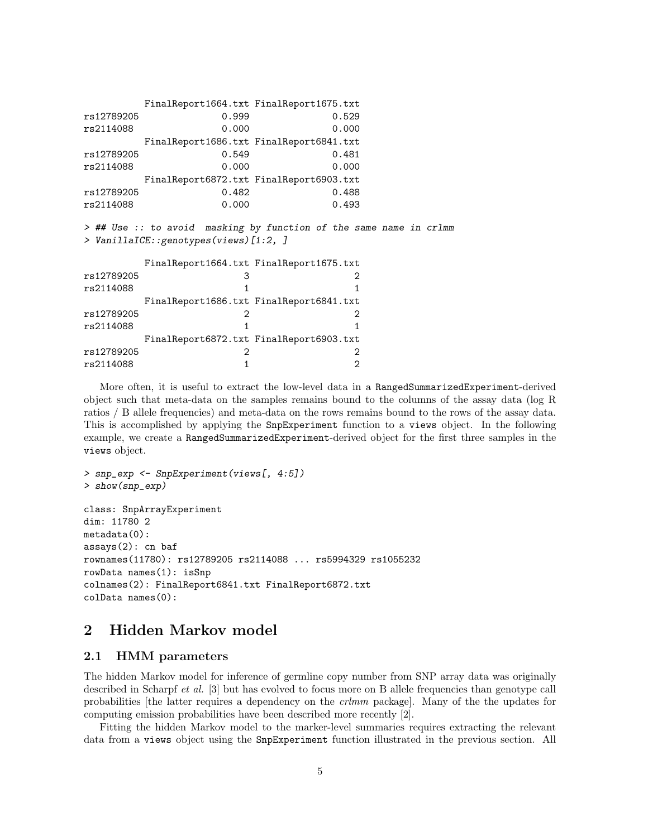```
FinalReport1664.txt FinalReport1675.txt
rs12789205 0.999 0.529
rs2114088 0.000 0.000
      FinalReport1686.txt FinalReport6841.txt
rs12789205 0.549 0.481
rs2114088 0.000 0.000
      FinalReport6872.txt FinalReport6903.txt
rs12789205 0.482 0.488
rs2114088 0.000 0.493
> ## Use :: to avoid masking by function of the same name in crlmm
> VanillaICE::genotypes(views)[1:2, ]
      FinalReport1664.txt FinalReport1675.txt
rs12789205 3 2
rs2114088 1 1
      FinalReport1686.txt FinalReport6841.txt
rs12789205 2 2
rs2114088 1 1
      FinalReport6872.txt FinalReport6903.txt
rs12789205 2 2
rs2114088 1 2
```
More often, it is useful to extract the low-level data in a RangedSummarizedExperiment-derived object such that meta-data on the samples remains bound to the columns of the assay data (log R ratios / B allele frequencies) and meta-data on the rows remains bound to the rows of the assay data. This is accomplished by applying the SnpExperiment function to a views object. In the following example, we create a RangedSummarizedExperiment-derived object for the first three samples in the views object.

```
> snp_exp <- SnpExperiment(views[, 4:5])
> show(snp_exp)
class: SnpArrayExperiment
dim: 11780 2
metadata(0):
assays(2): cn baf
rownames(11780): rs12789205 rs2114088 ... rs5994329 rs1055232
rowData names(1): isSnp
colnames(2): FinalReport6841.txt FinalReport6872.txt
colData names(0):
```
## 2 Hidden Markov model

### 2.1 HMM parameters

The hidden Markov model for inference of germline copy number from SNP array data was originally described in Scharpf *et al.* [3] but has evolved to focus more on B allele frequencies than genotype call probabilities [the latter requires a dependency on the crlmm package]. Many of the the updates for computing emission probabilities have been described more recently [2].

Fitting the hidden Markov model to the marker-level summaries requires extracting the relevant data from a views object using the SnpExperiment function illustrated in the previous section. All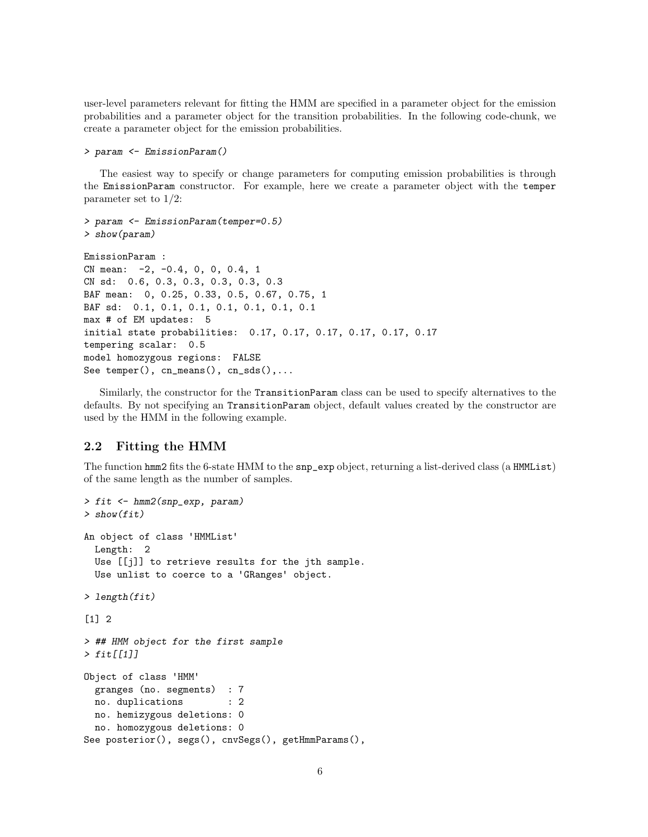user-level parameters relevant for fitting the HMM are specified in a parameter object for the emission probabilities and a parameter object for the transition probabilities. In the following code-chunk, we create a parameter object for the emission probabilities.

```
> param <- EmissionParam()
```
The easiest way to specify or change parameters for computing emission probabilities is through the EmissionParam constructor. For example, here we create a parameter object with the temper parameter set to 1/2:

```
> param <- EmissionParam(temper=0.5)
> show(param)
EmissionParam :
CN mean: -2, -0.4, 0, 0, 0.4, 1
CN sd: 0.6, 0.3, 0.3, 0.3, 0.3, 0.3
BAF mean: 0, 0.25, 0.33, 0.5, 0.67, 0.75, 1
BAF sd: 0.1, 0.1, 0.1, 0.1, 0.1, 0.1, 0.1
max # of EM updates: 5
initial state probabilities: 0.17, 0.17, 0.17, 0.17, 0.17, 0.17
tempering scalar: 0.5
model homozygous regions: FALSE
See temper(), cn\_means(), cn\_sds(), ...
```
Similarly, the constructor for the TransitionParam class can be used to specify alternatives to the defaults. By not specifying an TransitionParam object, default values created by the constructor are used by the HMM in the following example.

## 2.2 Fitting the HMM

The function hmm2 fits the 6-state HMM to the snp\_exp object, returning a list-derived class (a HMMList) of the same length as the number of samples.

```
> fit <- hmm2(snp_exp, param)
> show(fit)
An object of class 'HMMList'
 Length: 2
 Use [[j]] to retrieve results for the jth sample.
 Use unlist to coerce to a 'GRanges' object.
> length(fit)
[1] 2
> ## HMM object for the first sample
> fit[[1]]
Object of class 'HMM'
  granges (no. segments) : 7
 no. duplications : 2
 no. hemizygous deletions: 0
 no. homozygous deletions: 0
See posterior(), segs(), cnvSegs(), getHmmParams(),
```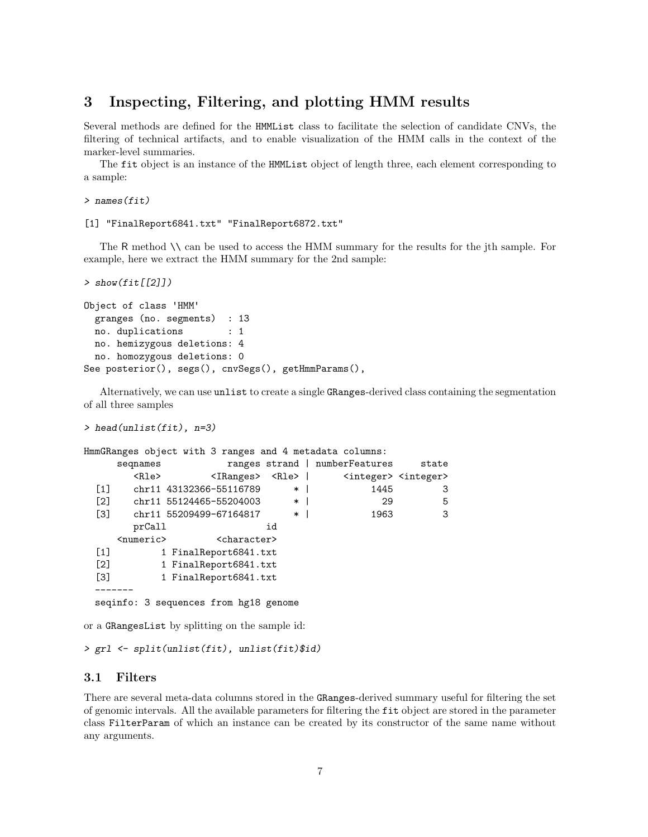## 3 Inspecting, Filtering, and plotting HMM results

Several methods are defined for the HMMList class to facilitate the selection of candidate CNVs, the filtering of technical artifacts, and to enable visualization of the HMM calls in the context of the marker-level summaries.

The fit object is an instance of the HMMList object of length three, each element corresponding to a sample:

```
> names(fit)
```
#### [1] "FinalReport6841.txt" "FinalReport6872.txt"

The R method \\ can be used to access the HMM summary for the results for the jth sample. For example, here we extract the HMM summary for the 2nd sample:

```
> show(fit[[2]])
```

```
Object of class 'HMM'
 granges (no. segments) : 13
 no. duplications : 1
 no. hemizygous deletions: 4
 no. homozygous deletions: 0
See posterior(), segs(), cnvSegs(), getHmmParams(),
```
Alternatively, we can use unlist to create a single GRanges-derived class containing the segmentation of all three samples

```
> head(unlist(fit), n=3)
```

```
HmmGRanges object with 3 ranges and 4 metadata columns:
      seqnames ranges strand | numberFeatures state
          <Rle> <IRanges> <Rle> | <integer> <integer>
  [1] chr11 43132366-55116789 * | 1445 3
  [2] chr11 55124465-55204003 * | 29 5
  [3] chr11 55209499-67164817 * | 1963 3
         prCall id
      <numeric>
<character>
<character>
</br/>
</br/>
</br/>
</br/>
</br/>
</br/>
<br/></br/>
</br/>
</br/>
</br/>
</br/>
</br/>
</br/>
</br/>
</br/>
</br/>
</br/>
</br/>
</br/>
</br/>
</br/>
</br/>
</br/>
</br/>
</br/>
</br/>
<
  [1] 1 FinalReport6841.txt
  [2] 1 FinalReport6841.txt
  [3] 1 FinalReport6841.txt
  -------
  seqinfo: 3 sequences from hg18 genome
```
or a GRangesList by splitting on the sample id:

```
> grl <- split(unlist(fit), unlist(fit)$id)
```
### 3.1 Filters

There are several meta-data columns stored in the GRanges-derived summary useful for filtering the set of genomic intervals. All the available parameters for filtering the fit object are stored in the parameter class FilterParam of which an instance can be created by its constructor of the same name without any arguments.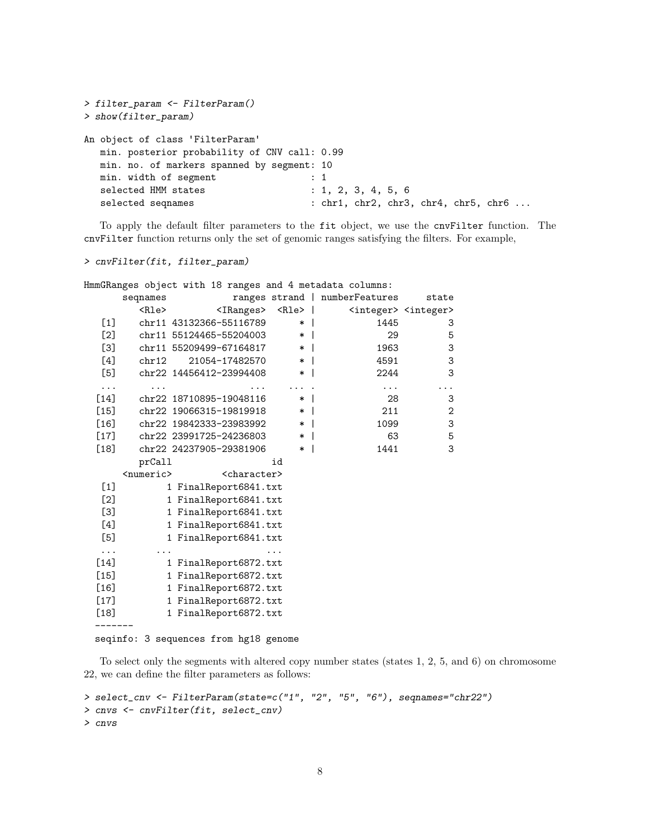```
> filter_param <- FilterParam()
> show(filter_param)
An object of class 'FilterParam'
  min. posterior probability of CNV call: 0.99
  min. no. of markers spanned by segment: 10
  min. width of segment : 1
  selected HMM states : 1, 2, 3, 4, 5, 6
  selected seqnames : chr1, chr2, chr3, chr4, chr5, chr6 ...
```
To apply the default filter parameters to the fit object, we use the cnvFilter function. The cnvFilter function returns only the set of genomic ranges satisfying the filters. For example,

```
> cnvFilter(fit, filter_param)
```

|        |                     |                                   |        | HmmGRanges object with 18 ranges and 4 metadata columns: |                                         |
|--------|---------------------|-----------------------------------|--------|----------------------------------------------------------|-----------------------------------------|
|        | seqnames            |                                   |        | ranges strand   numberFeatures                           | state                                   |
|        | <rle></rle>         | <iranges> <rle>  </rle></iranges> |        |                                                          | <integer> <integer></integer></integer> |
| $[1]$  |                     | chr11 43132366-55116789           | $*1$   | 1445                                                     | 3                                       |
| $[2]$  |                     | chr11 55124465-55204003           | $\ast$ | 29                                                       | 5                                       |
| [3]    |                     | chr11 55209499-67164817           | $\ast$ | 1963                                                     | 3                                       |
| [4]    | chr12               | 21054-17482570                    | $*1$   | 4591                                                     | 3                                       |
| [5]    |                     | chr22 14456412-23994408           | $\ast$ | 2244                                                     | 3                                       |
| .      |                     |                                   |        | .                                                        | $\ddots$                                |
| $[14]$ |                     | chr22 18710895-19048116           | $*1$   | 28                                                       | 3                                       |
| [15]   |                     | chr22 19066315-19819918           | $\ast$ | 211                                                      | $\overline{2}$                          |
| $[16]$ |                     | chr22 19842333-23983992           | $\ast$ | 1099                                                     | 3                                       |
| $[17]$ |                     | chr22 23991725-24236803           | $\ast$ | 63                                                       | 5                                       |
| $[18]$ |                     | chr22 24237905-29381906           | $\ast$ | 1441                                                     | 3                                       |
|        | prCall              |                                   | id     |                                                          |                                         |
|        | <numeric></numeric> | <character></character>           |        |                                                          |                                         |
| $[1]$  |                     | 1 FinalReport6841.txt             |        |                                                          |                                         |
| $[2]$  |                     | 1 FinalReport6841.txt             |        |                                                          |                                         |
| [3]    |                     | 1 FinalReport6841.txt             |        |                                                          |                                         |
| [4]    |                     | 1 FinalReport6841.txt             |        |                                                          |                                         |
| [5]    |                     | 1 FinalReport6841.txt             |        |                                                          |                                         |
| .      |                     |                                   |        |                                                          |                                         |
| $[14]$ |                     | 1 FinalReport6872.txt             |        |                                                          |                                         |
| $[15]$ |                     | 1 FinalReport6872.txt             |        |                                                          |                                         |
| $[16]$ |                     | 1 FinalReport6872.txt             |        |                                                          |                                         |
| $[17]$ |                     | 1 FinalReport6872.txt             |        |                                                          |                                         |
| $[18]$ |                     | 1 FinalReport6872.txt             |        |                                                          |                                         |
|        |                     |                                   |        |                                                          |                                         |

seqinfo: 3 sequences from hg18 genome

To select only the segments with altered copy number states (states 1, 2, 5, and 6) on chromosome 22, we can define the filter parameters as follows:

```
> select_cnv <- FilterParam(state=c("1", "2", "5", "6"), seqnames="chr22")
> cnvs <- cnvFilter(fit, select_cnv)
> cnvs
```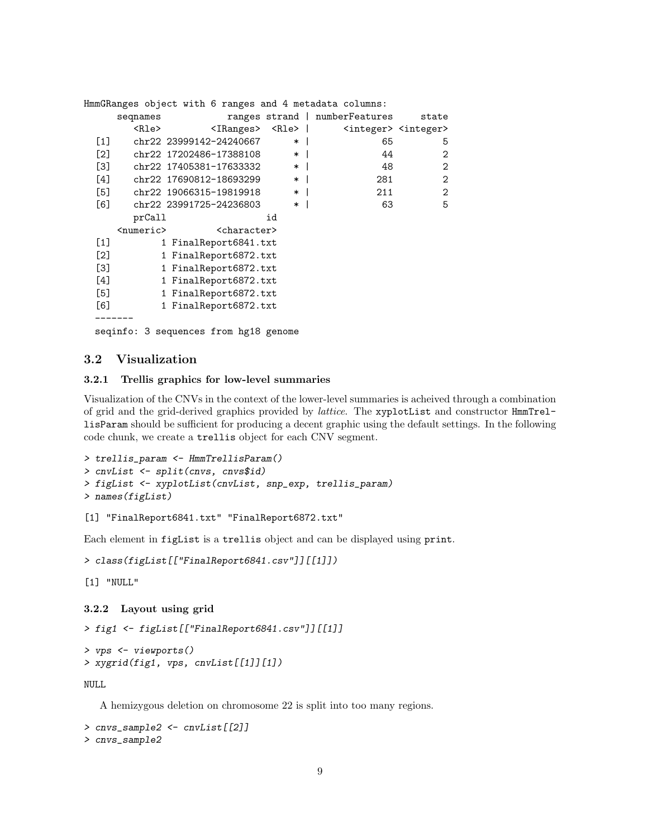|                   |                       |  | HmmGRanges object with 6 ranges and 4 metadata columns: |        |                                |                                         |
|-------------------|-----------------------|--|---------------------------------------------------------|--------|--------------------------------|-----------------------------------------|
|                   | seqnames              |  |                                                         |        | ranges strand   numberFeatures | state                                   |
|                   | <rle></rle>           |  | <iranges> <rle>  </rle></iranges>                       |        |                                | <integer> <integer></integer></integer> |
| $\lceil 1 \rceil$ |                       |  | chr22 23999142-24240667                                 | *      | 65                             | 5                                       |
| $\lceil 2 \rceil$ |                       |  | chr22 17202486-17388108                                 | $\ast$ | 44                             | 2                                       |
| [3]               |                       |  | chr22 17405381-17633332                                 | $\ast$ | 48                             | 2                                       |
| $[4]$             |                       |  | chr22 17690812-18693299                                 | $\ast$ | 281                            | 2                                       |
| [5]               |                       |  | chr22 19066315-19819918                                 | $\ast$ | 211                            | 2                                       |
| [6]               |                       |  | chr22 23991725-24236803                                 | $\ast$ | 63                             | 5                                       |
|                   | prCall                |  |                                                         | id     |                                |                                         |
|                   | <numeric></numeric>   |  | <character></character>                                 |        |                                |                                         |
| $\lceil 1 \rceil$ |                       |  | 1 FinalReport6841.txt                                   |        |                                |                                         |
| $\left[2\right]$  |                       |  | 1 FinalReport6872.txt                                   |        |                                |                                         |
| [3]               | 1 FinalReport6872.txt |  |                                                         |        |                                |                                         |
| $[4]$             |                       |  | 1 FinalReport6872.txt                                   |        |                                |                                         |
| [5]               |                       |  | 1 FinalReport6872.txt                                   |        |                                |                                         |
| [6]               |                       |  | 1 FinalReport6872.txt                                   |        |                                |                                         |
|                   |                       |  |                                                         |        |                                |                                         |
|                   |                       |  |                                                         |        |                                |                                         |

seqinfo: 3 sequences from hg18 genome

## 3.2 Visualization

#### 3.2.1 Trellis graphics for low-level summaries

Visualization of the CNVs in the context of the lower-level summaries is acheived through a combination of grid and the grid-derived graphics provided by lattice. The xyplotList and constructor HmmTrellisParam should be sufficient for producing a decent graphic using the default settings. In the following code chunk, we create a trellis object for each CNV segment.

```
> trellis_param <- HmmTrellisParam()
> cnvList <- split(cnvs, cnvs$id)
> figList <- xyplotList(cnvList, snp_exp, trellis_param)
> names(figList)
```
### [1] "FinalReport6841.txt" "FinalReport6872.txt"

Each element in figList is a trellis object and can be displayed using print.

```
> class(figList[["FinalReport6841.csv"]][[1]])
```

```
[1] "NULL"
```

```
3.2.2 Layout using grid
```

```
> fig1 <- figList[["FinalReport6841.csv"]][[1]]
```

```
> vps <- viewports()
> xygrid(fig1, vps, cnvList[[1]][1])
```
NULL

A hemizygous deletion on chromosome 22 is split into too many regions.

```
> cnvs_sample2 <- cnvList[[2]]
> cnvs_sample2
```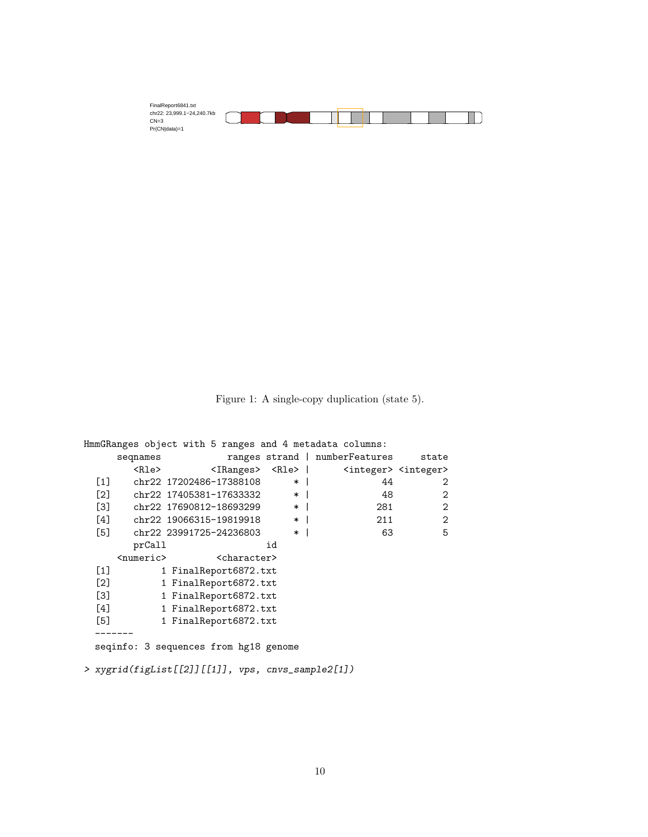| FinalReport6841.txt        |  |
|----------------------------|--|
| chr22: 23.999.1-24.240.7kb |  |
| $CN=3$                     |  |
| Pr(CN data)=1              |  |

Figure 1: A single-copy duplication (state 5).

|                   |                       |                       |                                       |          |  | HmmGRanges object with 5 ranges and 4 metadata columns:                   |                |
|-------------------|-----------------------|-----------------------|---------------------------------------|----------|--|---------------------------------------------------------------------------|----------------|
|                   | seqnames              |                       |                                       |          |  | ranges strand   numberFeatures state                                      |                |
|                   | <rle></rle>           |                       |                                       |          |  | <iranges> <rle>   <integer> <integer></integer></integer></rle></iranges> |                |
|                   |                       |                       | [1] chr22 17202486-17388108           | $*1$     |  | 44                                                                        | 2              |
|                   |                       |                       | [2] chr22 17405381-17633332           | $*1$     |  | 48                                                                        | $\overline{2}$ |
|                   |                       |                       | [3] chr22 17690812-18693299           | $\ast$ 1 |  | 281                                                                       | $\overline{2}$ |
|                   |                       |                       | [4] chr22 19066315-19819918           | $\ast$   |  | 211                                                                       | $\overline{2}$ |
| [5]               |                       |                       | chr22 23991725-24236803               | $*1$     |  | 63                                                                        | 5              |
|                   | prCall                |                       |                                       | id       |  |                                                                           |                |
|                   | <numeric></numeric>   |                       | <character></character>               |          |  |                                                                           |                |
| $\lceil 1 \rceil$ |                       |                       | 1 FinalReport6872.txt                 |          |  |                                                                           |                |
| $\lceil 2 \rceil$ | 1 FinalReport6872.txt |                       |                                       |          |  |                                                                           |                |
| <u>ГЗЛ</u>        | 1 FinalReport6872.txt |                       |                                       |          |  |                                                                           |                |
| [4]               |                       | 1 FinalReport6872.txt |                                       |          |  |                                                                           |                |
| [5]               | 1 FinalReport6872.txt |                       |                                       |          |  |                                                                           |                |
|                   |                       |                       |                                       |          |  |                                                                           |                |
|                   |                       |                       | seginfo: 3 sequences from hg18 genome |          |  |                                                                           |                |
|                   |                       |                       |                                       |          |  |                                                                           |                |

> xygrid(figList[[2]][[1]], vps, cnvs\_sample2[1])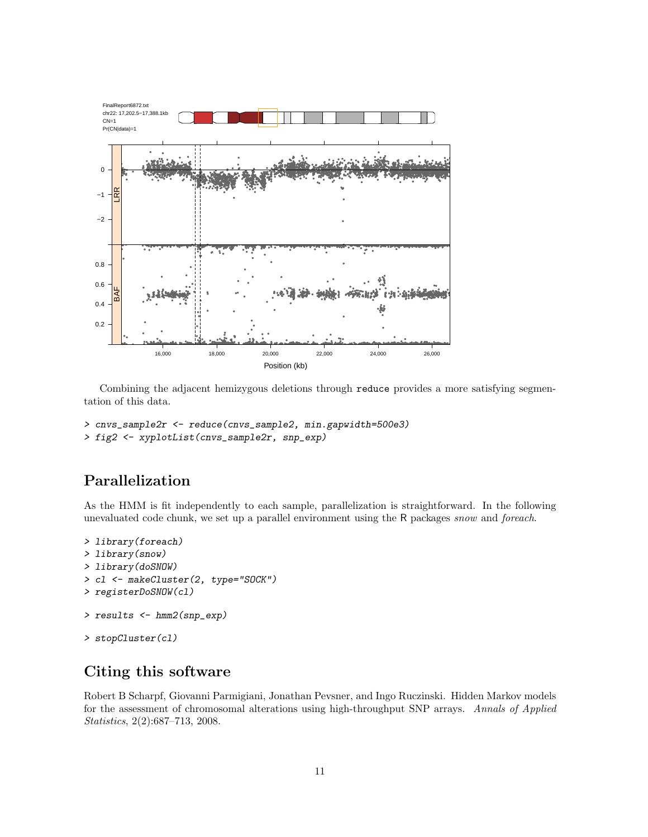

Combining the adjacent hemizygous deletions through reduce provides a more satisfying segmentation of this data.

```
> cnvs_sample2r <- reduce(cnvs_sample2, min.gapwidth=500e3)
> fig2 <- xyplotList(cnvs_sample2r, snp_exp)
```
## Parallelization

As the HMM is fit independently to each sample, parallelization is straightforward. In the following unevaluated code chunk, we set up a parallel environment using the R packages snow and foreach.

```
> library(foreach)
> library(snow)
> library(doSNOW)
> cl <- makeCluster(2, type="SOCK")
> registerDoSNOW(cl)
> results <- hmm2(snp_exp)
> stopCluster(c1)
```
## Citing this software

Robert B Scharpf, Giovanni Parmigiani, Jonathan Pevsner, and Ingo Ruczinski. Hidden Markov models for the assessment of chromosomal alterations using high-throughput SNP arrays. Annals of Applied Statistics, 2(2):687-713, 2008.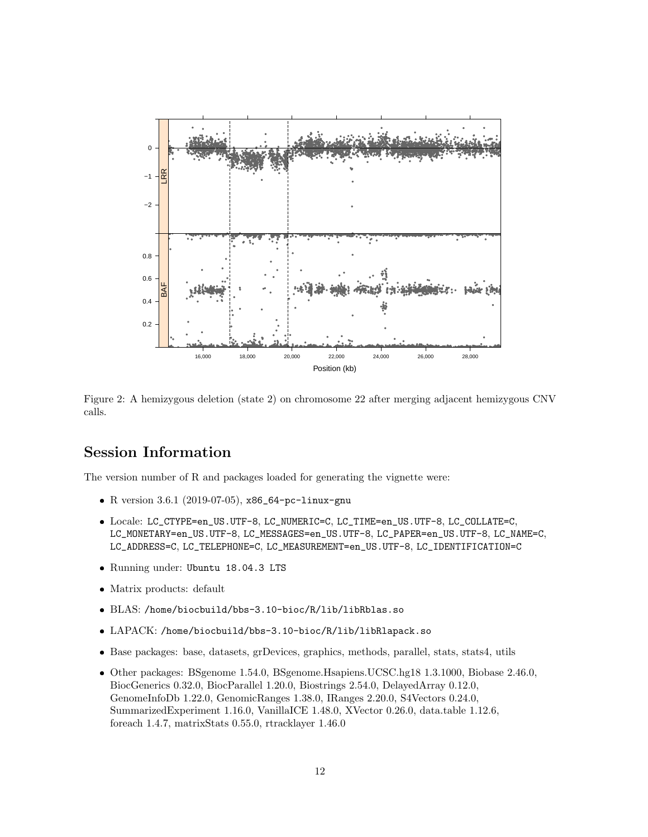

Figure 2: A hemizygous deletion (state 2) on chromosome 22 after merging adjacent hemizygous CNV calls.

## **Session Information**

The version number of R and packages loaded for generating the vignette were:

- R version 3.6.1 (2019-07-05), x86\_64-pc-linux-gnu
- Locale: LC\_CTYPE=en\_US.UTF-8, LC\_NUMERIC=C, LC\_TIME=en\_US.UTF-8, LC\_COLLATE=C, LC\_MONETARY=en\_US.UTF-8, LC\_MESSAGES=en\_US.UTF-8, LC\_PAPER=en\_US.UTF-8, LC\_NAME=C, LC\_ADDRESS=C, LC\_TELEPHONE=C, LC\_MEASUREMENT=en\_US.UTF-8, LC\_IDENTIFICATION=C
- · Running under: Ubuntu 18.04.3 LTS
- Matrix products: default
- BLAS: /home/biocbuild/bbs-3.10-bioc/R/lib/libRblas.so
- LAPACK: /home/biocbuild/bbs-3.10-bioc/R/lib/libRlapack.so
- Base packages: base, datasets, grDevices, graphics, methods, parallel, stats, stats4, utils
- Other packages: BSgenome 1.54.0, BSgenome.Hsapiens.UCSC.hg18 1.3.1000, Biobase 2.46.0, BiocGenerics 0.32.0, BiocParallel 1.20.0, Biostrings 2.54.0, DelayedArray 0.12.0, GenomeInfoDb 1.22.0, GenomicRanges 1.38.0, IRanges 2.20.0, S4Vectors 0.24.0, SummarizedExperiment 1.16.0, VanillaICE 1.48.0, XVector 0.26.0, data.table 1.12.6, foreach 1.4.7, matrixStats 0.55.0, rtracklayer 1.46.0